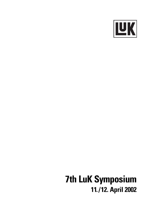

# **7th LuK Symposium** 11./12. April 2002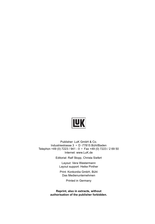

Publisher: LuK GmbH & Co. Industriestrasse 3 • D -77815 Bühl/Baden Telephon +49 (0) 7223 / 941 - 0 • Fax +49 (0) 7223 / 2 69 50 Internet: www.LuK.de

Editorial: Ralf Stopp, Christa Siefert

Layout: Vera Westermann Layout support: Heike Pinther

Print: Konkordia GmbH, Bühl Das Medienunternehmen

Printed in Germany

**Reprint, also in extracts, without authorisation of the publisher forbidden.**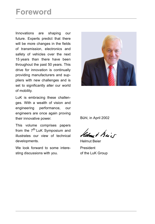# **Foreword**

Innovations are shaping our future. Experts predict that there will be more changes in the fields of transmission, electronics and safety of vehicles over the next 15 years than there have been throughout the past 50 years. This drive for innovation is continually providing manufacturers and suppliers with new challenges and is set to significantly alter our world of mobility.

LuK is embracing these challenges. With a wealth of vision and engineering performance, our engineers are once again proving their innovative power.

This volume comprises papers from the 7<sup>th</sup> LuK Symposium and illustrates our view of technical developments.

We look forward to some interesting discussions with you.



Bühl, in April 2002

Helmy & Brief

Helmut Beier President of the LuK Group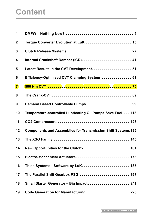# **Content**

| $\mathbf 1$    |                                                                     |
|----------------|---------------------------------------------------------------------|
| $\overline{2}$ | Torque Converter Evolution at LuK  15                               |
| 3              |                                                                     |
| 4              |                                                                     |
| 5              | Latest Results in the CVT Development 51                            |
| 6              | Efficiency-Optimised CVT Clamping System  61                        |
| $\overline{7}$ |                                                                     |
| 8              |                                                                     |
| 9              |                                                                     |
| 10             | Temperature-controlled Lubricating Oil Pumps Save Fuel 113          |
| 11             |                                                                     |
| 12             | <b>Components and Assemblies for Transmission Shift Systems 135</b> |
| 13             |                                                                     |
| 14             | New Opportunities for the Clutch? 161                               |
| 15             | Electro-Mechanical Actuators 173                                    |
| 16             |                                                                     |
| 17             | The Parallel Shift Gearbox PSG  197                                 |
| 18             | Small Starter Generator - Big Impact 211                            |
| 19             | Code Generation for Manufacturing 225                               |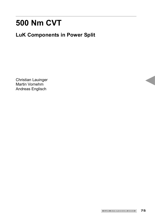# **500 Nm CVT**

# **LuK Components in Power Split**

Christian Lauinger Martin Vornehm Andreas Englisch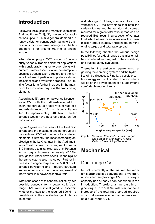## **Introduction**

Following the successful market launch of the Audi multitronic® [1], [2], presently for applications up to 310 Nm, a general demand currently exists for continuously variable transmissions for more powerful engines. The target here is for around 500 Nm of engine torque.

When developing a CVT concept (Continuously Variable Transmission) for applications with considerably higher torque, along with numerous other aspects, a fuel consumptionoptimised transmission structure and the variator load are of particular importance during the selection and evaluation process. The limiting factor for a further increase in the maximum transmittable torque is the transmitting element.

According to [3], on a non-power-split conventional CVT with the further-developed LuK chain, the torque, at a total ratio spread of 6 and axis distance of 171 mm, is currently limited to approximately 400 Nm. Smaller spreads would have adverse effects on fuel consumption.

Figure 1 gives an overview of the total ratio spread and the maximum engine torque of a conventional CVT with various transmission elements. Currently, the most demanding application is the LuK variator in the Audi multitronic® with a maximum engine torque of 310 Nm and a total ratio spread of 6. Potential for a torque increase to nearly 400 Nm through the further-developed LuK chain [3] of the same size is also indicated. Further increases in engine torque up to 500 Nm with spreads between 6 and 7 require structural enhancements such as the arrangement of the variator in a power split drive train.

Within the scope of this theoretical study, two possible concepts for a power split, dualrange CVT were investigated to ascertain whether the step to the required 500 Nm is possible within the specified range of total ratio spread.

A dual-range CVT has, compared to a conventional CVT, the advantage that both the variator torque and the variator ratio spread required for a given total ratio spread can be reduced. Both result in a reduction of variator load, which allows for an increase of the transmission torque capacity and consequently the engine torque and total ratio spread.

In the following chapter, the various design possibilities for a dual-range transmission will be considered with regard to their suitability and subsequently evaluated.

Thereafter, the particular requirements regarding the clamping system and the hydraulics will be discussed. Finally, a possible control strategy will be illustrated. The focus here will be on the development of a strategy for a comfortable mode change.



*Fig. 1: Maximum Permissible Engine Torque and Spread of Standard CVT with Various Transmitting Elements*

## **Mechanical**

### Dual-range CVT

In CVT's currently on the market, the variator is arranged in a conventional drive train, a so-called single-range CVT. The torque capacity has already been described in the introduction. Therefore, an increase in engine torque up to 500 Nm with simultaneous increase of the total ratio spread requires structural transmission enhancements such as a dual-range CVT.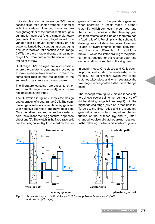In its simplest form, a dual-range CVT has a second fixed-ratio shaft arranged in parallel with the variator. The two branches are brought together at the output shaft through a summation gear set (e.g. a simple planetary gear set). The drive train, together with the variator, can be driven either directly or in a power split mode by disengaging or engaging a clutch in the fixed-ratio section. A dual-range CVT is therefore more elaborate than a singlerange CVT from both a mechanical and control point of view.

Dual-range CVT designs are also possible where the variator is permanently located in a power split drive train; however, to reach the same total ratio spread the designs of the summation gear sets are more complex.

The literature contains references to other known multi-range concepts [4], which were not included in this study.

The illustration in figure 2 shows the design and operation of a dual-range CVT. The summation gear set is a simple planetary gear set with negative set ratio  $i_1$  (negative gear set). On a negative gear set, when the carrier is held, the sun and the ring gear turn in opposite directions [5]. The clutch in the fixed-ratio split has the designation  $K_H$ . In order to limit the degrees of freedom of the planetary gear set when operating in unsplit mode, a further clutch  $K_l$ , which connects the sun gear and the carrier, is necessary. The planetary gear set then rotates locked-up and therefore has a fixed ratio of 1. For simplicity the schematic drawing does not show the drive-off element (clutch or hydrodynamic torque converter) and the axle differential. An additional brake B, which facilitates braking of the planet carrier, is required for the reverse gear. The output shaft is connected to the ring gear.

In unsplit mode,  $K_l$  is closed and  $K_H$  is open. In power split mode, the relationship is reversed. The point where switch-over of the clutches takes place and which separates the two ranges is designated as the mode change point.

The concept from figure 2 makes it possible to achieve power split either during drive-off (higher driving range is then unsplit) or in the higher driving range (drive-off is then unsplit). To do so, the fixed ratios and the planetary gear set ratios must be changed and the actuation of the clutches  $K_H$  and  $K_I$  interchanged. Additional clutches are not required. In the following, the transmission from figure 2



*Fig. 2: Schematic Layout of a Dual-Range CVT Showing Power Flows Unsplit (Left) and Power Split (Right)*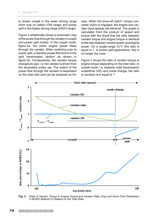is shown unsplit in the lower driving range (from now on called LOW range) and power split in the higher driving range (HIGH range).

Figure 2 additionally shows a schematic view of the power flow through the variator in unsplit and power split modes. In the unsplit mode, figure 2a, the entire engine power flows through the variator. When switching over to power split, a reactive-power flow forms in the split transmission section as shown in figure 2b. Consequently, the variator torque changes its sign, i.e. the variator is driven from the secondary pulley set. The extent of the power flow through the variator is dependent on the total ratio and can be analysed as follows. When the drive-off clutch / torque converter clutch is engaged, the engine and variator input speeds are identical. The power is calculated from the product of speed and torque with the result that the ratio between variator torque and engine torque is identical to the ratio between variator power and engine power. On a single-range CVT, this ratio is equal to 1. In power split applications, this is no longer the case.

Figure 3 shows the ratio of variator torque to engine torque depending on the total ratio. In unsplit mode, i.e. between total transmission underdrive (UD) and mode change, the ratio is constant and equal to 1.



*Fig. 3: Ratio of Variator Torque to Engine Torque and Variator Ratio (Top) and Drive-Time Distribution in MVEG (Bottom) in Relation to the Total Ratio*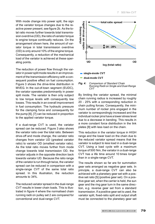With mode change into power split, the sign of the variator torque changes due to the reactive power present, see figure 2b. As the total ratio moves further towards total transmission overdrive (OD), the ratio of variator torque to engine torque continually reduces. On the arrangement shown here, the amount of variator torque in total transmission overdrive (OD) is only around 10% of the engine torque. Consequently, a reduction of the mechanical load of the variator is achieved at these operating points.

The reduction of power flow through the variator in power split mode results in an improvement of the transmission efficiency with a consequent positive effect on fuel consumption. Figure 3 shows the drive-time distribution in MVEG. In the out-of-town segment (EUDC), the variator operates predominantly in power split mode. The variator is then only subject to low torque levels with consequently low losses. This results in an overall improvement in fuel consumption. The hydraulic pressure for the clamping force and consequently for the pump [6], [7] can be reduced in proportion to the applied variator torque.

If a dual-range CVT is used, the variator spread can be reduced. Figure 3 also shows the variator ratio over the total ratio. Between drive-off and mode change, the variator ratio changes from variator UD (greatest variator ratio) to variator OD (smallest variator ratio). As the total ratio moves further from mode change towards total transmission OD, the variator adjusts in the opposite direction back towards variator UD. Because the ratio range of the variator is run through twice, the variator spread can be reduced in comparison with a single-range CVT of the same total ratio spread. In this illustration, the reduction amounts to 34%.

The reduced variator spread in the dual-range CVT results in lower chain loads. This is illustrated in figure 4 where the normalised chain running radii on pulley set 2 are compared for conventional and dual-range CVT.



single-mode CVT

dual-mode CVT

*Fig. 4: Comparison of Standard Chain Running Radii on Single and Dual-Range CVT*

By limiting the variator spread, the minimal chain running radius is increased by roughly 20 - 25% with a corresponding reduction in chain pulling forces. Consequently, the minimum number of rocker pins engaged in the variator is correspondingly increased and the individual rocker pins have a lower stress level due to a decrease in bending. This results in a more constant force distribution in the link plates [8] with less load on the chain.

This reduction in the variator torque in HIGH range and the lower load on the chain due to the reduced variator spread means that the variator is subject to less load in a dual-range CVT. Using a load cycle with a maximum torque of 500 Nm, the variator in a dual-range CVT has a life time around 10 times longer than in a single-range CVT.

The results shown so far are for summation gear sets arranged as negative gear sets. In principle, a dual-range CVT can also be achieved with a planetary gear set with a positive set ratio [5] (positive gear set). On a positive gear set, when the carrier is held, the sun gear and the ring gear turn in the same direction, e.g. reverse gear set from a standard transmission. If a positive gear set is used, the variator split, fixed-ratio split and output shaft must be connected to the planetary gear set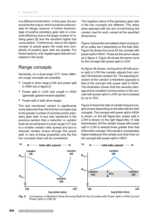in a different combination. In this case, the sun would be the output, which would be unfavourable for design reasons. A further disadvantage of positive planetary gear sets is a lowered efficiency due to the larger number of rotating gears [5] and the resultant higher fuel consumption. Furthermore, due to the higher number of planet gears the costs and complexity of positive gear sets are greater. For these reasons, only negative gear sets are considered in this study.

#### Range concepts

Generally, on a dual-range CVT, three different range concepts are possible:

- Unsplit in drive range LOW and power split in HIGH (as in figure 2)
- Power split in LOW and unsplit in HIGH (generally geared-neutral-capable)
- Power split in both drive ranges

The last mentioned variant is significantly more elaborate than the first two concepts due to the greater number of clutches and/or planetary gear sets. It was also explained in the previous section that a reduction in variator load can be achieved in a dual-range CVT due to a smaller variator ratio spread and due to reduced variator torque through the power split. In view of these properties only the first two concepts listed will be considered.

The negative ratios of the planetary gear sets in the two concepts are different. The ratios were selected with the aim of minimising the variator load for each variant at the specified dimensions.

Figure 5 shows the normalised chain running radii on pulley set 2 depending on the total ratio. Figure 5a shows the curve for the concept with power split in HIGH. These are the same values as in figure 4. Figure 5b shows the same curve for the concept with power split in LOW.

As figure 5b shows, during drive-off with power split in LOW the variator adjusts from variator OD towards variator UD. The adjusting direction of the variator is therefore opposite to that of the concept with power split in HIGH. The illustration shows that the severely damage-prone smallest running radius in the concept with power split in LOW can be increased by up to 35%.

Figure 6 shows the ratio of variator torque to engine torque depending on the total ratio for both concepts. The concept with power split in HIGH is shown on the left (figure 6a), power split in LOW is shown on the right (figure 6b). In total transmission UD the variator torque with power split in LOW is several times greater than that of the other concept. This results in considerably higher loading for the variator and chain than on the concept with power split in HIGH.



*Fig. 5: Comparison of Standard Chain Running Radii for the Concepts with Power Split in HIGH (a) and Power Split in LOW (b)*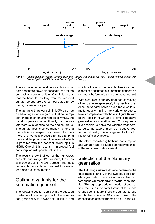

*Fig. 6: Relationship of Variator Torque to Engine Torque Depending on Total Ratio for the Concepts with Power Split in HIGH (a) and Power Split in LOW (b)*

The damage accumulation calculations for both concepts show a higher chain load for the concept with power split in LOW. This means that the benefits resulting from the reduced variator spread are overcompensated for by the high variator torque.

The variant with power split in LOW also has disadvantages with regard to fuel consumption. In the main driving ranges of MVEG, the variator operates conventionally; i.e. the variator torque is identical to the engine torque. The variator loss is consequently higher and the efficiency respectively lower. Furthermore, the hydraulic pressure for the clamping force and the pump cannot be lowered, which is possible with the concept power split in HIGH. Overall this results in improved fuel consumption with power split in HIGH.

The results show that out of the numerous possible dual-range CVT variants, the ones with power split in HIGH represent the most favourable concepts with regard to variator load and fuel consumption.

#### Optimum variants for the summation gear set

The following section deals with the question of what are the other options for the summation gear set with power split in HIGH and which is the most favourable. Previous considerations assumed a summation gear set arranged in the form of a simple negative gear set.

With a coupled planetary gear set (consisting of two planetary gear sets), it is possible to reduce the variator spread even more while simultaneously limiting the variator torque to levels comparable with those in figure 6a with power split in HIGH and a simple negative gear set as a summation gear. Consequently, it is possible to halve the variator wear compared to the case of a simple negative gear set. Additionally, this arrangement allows for higher efficiency levels.

Therefore, considering both fuel consumption and variator load, a coupled planetary gear set is the most favourable variant.

#### Selection of the planetary gear ratios

The following illustrates how to determine the gear ratios  $i_1$  and  $i_2$  of the two coupled planetary gear sets. These ratios have a direct effect on the variator load and the fuel consumption. Through appropriate selection of both ratios, the jump in variator torque at the mode change point (figure 3) and the variator torque in total transmission OD are minimised. The specification of total transmission UD and OD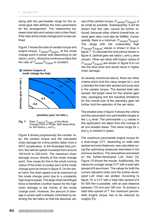along with the permissible range for the reverse gear ratio defines the main parameters for the arrangement. The relationship between total ratio and variator ratio is then fixed, if the ratio at the mode change point is also defined.

Figure 7 shows the ratio of variator torque and engine torque,  $T_{\text{Variator}}/T_{\text{Fnonine}}$ , at the mode change point in power split depending on set ratios  $i_1$  and  $i_2$ . Along the continuous black line the ratio of  $T_{\text{Variator}}/T_{\text{Enqine}}$  is constant.



#### Variator torques at mode change too high

planetary gear set ratio i,

*Fig. 7: Ratio TVariator/TEngine at the Mode Change Point in Power Split depending on Set Ratios i<sub>1</sub> and i<sub>2</sub>* 

Figure 8 shows progressively the variator ratio, the variator torque and the calculated chain damage for a time portion taken from a WOT acceleration. In the illustrated time portion, the vehicle speed increases from around 160 km/h to 220 km/h. The maximum chain damage occurs directly at the mode change point. One cause for this is the small running radius of the chain on pulley set 2 at the mode change point as shown in figure 6. On the other hand, the chain speed is at its maximum at the mode change point due to a constantly high engine speed. The large chain centrifugal force is therefore a further reason for the high chain damage in the vicinity of the mode change point. However, the amount of damage in power split is already minimised by selecting the set ratios so that the absolute values of the variator torque,  $|T_{\text{Variator}}/T_{\text{Encinel}}|$ , is as small as possible. Subsequently, it will be shown that this ratio cannot be further reduced, because other criteria (overall size, reverse gear ratio) must also be fulfilled. Consequently, there is a minimum  $|T_{\text{Variator}}/T_{\text{Engineering}}|$ . The range with the undesirably high |T<sub>Variator</sub>/T<sub>Engine</sub>| values is shown in blue in figure 7. To calculate the time period shown in figure 8, optimal gear set ratios  $i_1$  and  $i_2$  were chosen. Other set ratios with higher values of |T<sub>Variator</sub>/T<sub>Engine</sub>| are shown in figure 8 to run into the blue zone and would result in higher chain damage.

As already mentioned above, there are other criteria which limit the value ranges for  $i_1$  and  $\mathsf{i}_2$  besides the total ratio spread and jump size in the variator torque. The desired total ratio spread, the target value for the reverse gear ratio, packaging and the resulting limitations for the overall size of the planetary gear set further limit the selection of the set ratios.

The shaded area in figure 9 shows the criteria and the associated non-permissible ranges in the  $i_1$ -i<sub>2</sub> level. The permissible  $i_1$ -i<sub>2</sub> values in this application are taken from the overlap of all non-shaded areas. This value range for  $i_1$ and  $i<sub>2</sub>$  is marked in green.

The maximum permissible engine torque for a dual-range CVT, depending on total ratio spread and axis distances, was calculated using the optimising measures described in the previous sections. The calculations are based on the further-developed LuK chain [3]. Figure 10 shows the results. Additionally, the values for a single-range CVT with a total ratio spread of 6 are shown. The values for both the current standard chain and the further-developed LuK chain are plotted. According to figure 10, a CVT with a total ratio spread of 6 for 500 Nm is possible, with an axis distance between 170 mm and 190 mm. To achieve a total ratio spread of 7, the maximum permissible engine torque has to be reduced by roughly 5%.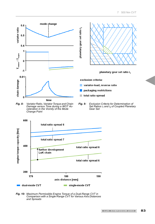

total ratio spread 6

single-mode CVT

190

*Fig. 10: Maximum Permissible Engine Torque of a Dual-Range CVT in Comparison with a Single-Range CVT for Various Axis Distances and Spreads*

180

axis distance [mm]

 $\sim 100$ 

200

170

dual-mode CVT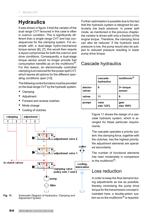# **Hydraulics**

It was shown in figure 3 that the variator of the dual range CVT favoured in this case is often in overrun condition. This is significantly different than a single-range CVT and has consequences for the clamping system. For example with a dual-stage hydro-mechanical torque sensor [6], [7], this would then require a layout compromise for both the overrun and drive conditions. Consequently, a dual-stage torque sensor would no longer provide fuel consumption benefits as on the multitronic®. For this reason, an electronically controlled clamping is envisioned for the power split CVT, which leaves all options for the different operating conditions open [10].

The following control functions must be provided on the dual-range CVT by the hydraulic system.

- Clamping
- Adjustment
- Forward and reverse clutches
- Mode change
- Cooling of clutches



**Fig. 11:** Schematic Diagram of Hydraulics: Clamping and *Adjustment System Adjustment System Adjustment System* 

Further optimisation is possible due to the fact that the hydraulic system is designed for particularly low back pressure. In power split mode, as mentioned in the previous chapter, the variator is driven with only a fraction of the engine torque. Therefore, the clamping force can also be reduced. If the hydraulic back pressure is low, the pump would also be subject to reduced pressure resulting in lower pump drive torque.

### Cascade hydraulics

|                    | cascade-<br>hydraulics | multitronic <sup>®</sup> |
|--------------------|------------------------|--------------------------|
| electro-<br>valves | 6                      | 3+ torque<br>sensor      |
| valves             | 11                     | 9                        |
| pumps              | vane<br>size 122%      | gear<br>size 100%        |

Figure 11 shows the design of a cascade hydraulic system, which is arranged for these particular requirements.

The cascade operates a priority system: the clamping force, together with the clutches, has the highest priority; the adjustment elements are operated secondarily.

The number of functional elements has risen moderately in comparison to the multitronic<sup>®</sup>:

#### Loss reduction

In order to keep the flow demand during adjustments as low as possible, thereby minimising the pump drive torque for the transmission concept illustrated here, a double-piston sys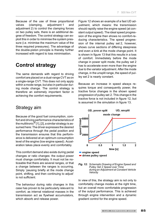Because of the use of three proportional valves (clamping, adjustment 1 and adjustment 2) to control the clamping forces on two pulley sets, there is an additional degree of freedom. The control strategy can exploit this in order to minimise the system pressure (i.e. minimise the maximum value of the three required pressures). The advantage of the double-piston principle is thereby further increased with regard to loss minimisation.

## **Control strategy**

The same demands with regard to driving comfort are placed on a dual-range CVT as on a single-range CVT. This does not only apply within a mode range, but also in particular during mode change. The control strategy is therefore an extremely important factor in achieving the comfort requirements.

#### Strategy aim

Because of the good fuel consumption, comfort and driving performance characteristics of the multitronic $^{\circledR}$  [1], [2], a similar strategy is assumed here: The driver expresses the desired performance through the pedal position and the transmission ensures that this performance is delivered at an optimum consumption level of the engine (low engine speed). Acceleration takes place evenly and comfortably.

This comfort demand also exists during pedal changes or ratio changes: the output power must change comfortably. It must not be noticeable that there are several ranges, or that a change between the ranges is occurring. Simply 'pausing briefly at the mode change point, shifting, and then continuing to adjust' is not sufficient.

The behaviour during ratio changes in this case has proven to be particularly relevant to comfort, as internal rotational masses in the transmission act as flywheel accumulators, which absorb and release power.

Figure 12 shows an example of a fast UD adjustment, which means: the transmission should rapidly raise the engine speed (at constant output speed). The ideal speed progression of the engine then shows no comfort-reducing characteristics. The speed progression of the internal pulley set 2, however, shows curve sections of differing steepness and even a kink at the mode change point. It is shown in figure 13 that this results in a loss of comfort. Immediately before the mode change in power split mode, the pulley set 2 has to accelerate even more than the engine due to the variator adjustment. After the mode change, in the unsplit range, the speed of pulley set 2 is nearly constant.

Because an increase in speed always requires torque and consequently power, the tractive force changes in the shown speed progression of pulley set 2. This change in the tractive force is not included in figure 12, but is assumed in the simulation in figure 13.





In view of this, the strategy aim is not only to comfortably change modes at the right time, but an overall more comfortable progression of the output performance. This is achieved through engine intervention and a dynamic gradient control for the engine speed.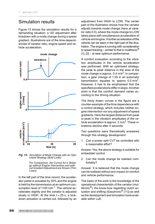### Simulation results

Figure 13 shows the simulation results for a demanding situation: a UD adjustment after kickdown with a mode change during a speed gradient. Illustrations are of the time-dependencies of variator ratio, engine speed and vehicle acceleration.



*Fig. 13: Simulation of Mode Change with an Optimised Strategy (Bold Lines)*

*For Comparison, the Curves for a Strategy without Engine Intervention and without Gradient Adjustment are Shown (Thin Lines).*

In the left part of the time record, the accelerator pedal is actuated by 30% and the engine is held by the transmission at an optimum consumption level of 1100 min<sup>-1</sup>. The vehicle accelerates slightly and the variator is adjusted slowly in HIGH. At the time  $t \approx 25$  s, a kickdown actuation is carried out, followed by an adjustment from HIGH to LOW. The center part of the illustration shows how the variator adjusts towards mode change (here at variator ratio 0.5), where the mode change to LOW takes place with simultaneous acceleration of vehicle and engine. A further acceleration of the vehicle can be seen in the right part of the illustration. The engine is running with consideration to speed tracking – similar to that in multitronic<sup>®</sup> [1], [2] – at near optimum performance.

A comfort evaluation according to the vibration amplitudes in the vehicle acceleration was performed. With an optimised strategy, the peak to peak distance in the area of the mode change is approx.  $0.4 \text{ m/s}^2$ . In comparison, a gear change of 1.25 in an automatic transmission equates to approx.  $0.5 \text{ m/s}^2$ . However, it has to be emphasised that the specified accelerations differ in slope. Another point is that the comfort demand varies according to the driving situation.

The thinly drawn curves in the figure are a counter-example of the time dependence with a control strategy, which includes neither engine intervention nor any adjustment of speed gradients. Here the largest distance from peak to peak in the vibration amplitudes of the vehicle acceleration is approx.  $3 \text{ m/s}^2$ . These vibrations decline after 4 seconds.

Two questions were theoretically answered through this strategy development:

1. Can a power split CVT be controlled with a reasonable effort?

Answer: Yes, the above strategy is suitable for embedded control.

2. Can the mode change be realised comfortably?

Answer: It is believed that the mode change can be realised without any impact on comfort and vehicle performance.

The basis of the work is the knowledge of the operational characteristic of the variator (multitronic®), the know-how regarding clutch actuation and shifting (Easytronic® [11]) as well as the development and simulation tools available within LuK.